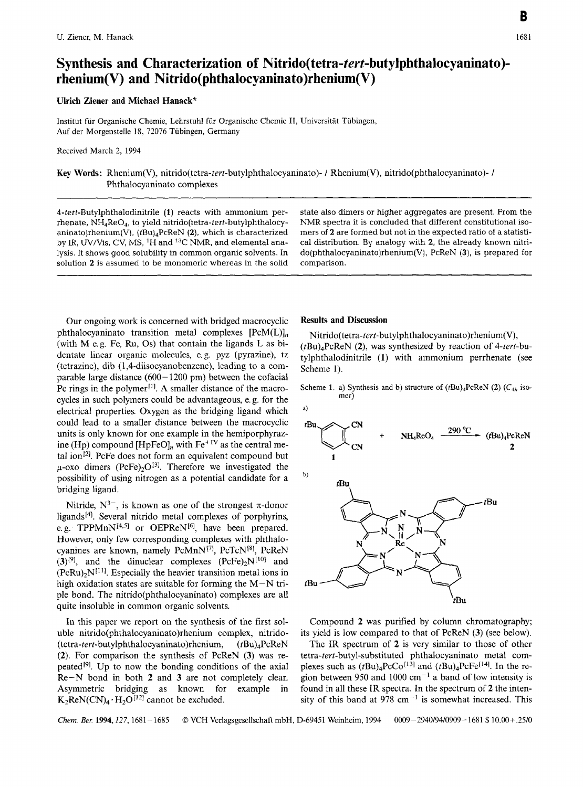## **Synthesis and Characterization of Nitrido(tetra-tert-butylphtha1ocyaninato) rhenium(V) and Nitrido(phthalocyaninato)rhenium(V)**

**Ulrich Ziener and Michael Hanack"** 

Institut fur Organische Chemie, Lehrstuhl fur Organische Chemie **11,** Universitat Tubingen, **Auf** der Morgenstelle 18, 72076 Tubingen, Germany

Received March **2,** 1994

**Key Words:** Rhenium(V), **nitrido(tetra-tert-butylphtha1ocyaninato)-** / Rhenium(V), nitrido(phthalocyaninat0)- / Phthalocyaninato complexes

4-tert-Butylphthalodinitrile **(1)** reacts with ammonium perrhenate, NH4Re04, to yield nitrido(tetra-tert-butylphthalocyaninato)rhenium(V), (tBu)<sub>4</sub>PcReN (2), which is characterized by IR, UV/Vis, CV, MS, 'H and **I3C** NMR, and elemental analysis. It shows good solubility in common organic solvents. In solution **2** is assumed to be monomeric whereas in the solid

state also dimers or higher aggregates are present. From the NMR spectra it is concluded that different constitutional isomers of **2** are formed but not in the expected ratio of a statistical distribution. By analogy with **2,** the already known nitri**do(phthalocyaninato)rhenium(V),** PcReN **(3),** is prepared for comparison.

Our ongoing work is concerned with bridged macrocyclic phthalocyaninato transition metal complexes  $[PeM(L)]_n$ (with M e.g. Fe, Ru, OS) that contain the ligands L as bidentate linear organic molecules, e. g. pyz (pyrazine), tz (tetrazine), dib **(1,4-diisocyanobenzene),** leading to a comparable large distance  $(600 - 1200 \text{ pm})$  between the cofacial Pc rings in the polymer<sup>[1]</sup>. A smaller distance of the macrocycles in such polymers could be advantageous, e.g. for the electrical properties. Oxygen as the bridging ligand which could lead to a smaller distance between the macrocyclic units is only known for one example in the hemiporphyrazine (Hp) compound [HpFeO]<sub>n</sub> with Fe<sup>+IV</sup> as the central metal ion $[2]$ . PcFe does not form an equivalent compound but  $\mu$ -oxo dimers (PcFe)<sub>2</sub>O<sup>[3]</sup>. Therefore we investigated the possibility of using nitrogen as a potential candidate for a bridging ligand.

Nitride,  $N^{3-}$ , is known as one of the strongest  $\pi$ -donor ligands<sup>[4]</sup>. Several nitrido metal complexes of porphyrins, e. g. TPPMn $N^{[4,5]}$  or OEPRe $N^{[6]}$ , have been prepared. However, only few corresponding complexes with phthalocyanines are known, namely PcMnN<sup>[7]</sup>, PcTcN<sup>[8]</sup>, PcReN  $(3)^{9}$ ], and the dinuclear complexes  $(PeFe)_2N^{[10]}$  and  $(PeRu)_{2}N^{[11]}$ . Especially the heavier transition metal ions in high oxidation states are suitable for forming the  $M-N$  triple bond. The nitrido(phtha1ocyaninato) complexes are all quite insoluble in common organic solvents.

In this paper we report on the synthesis of the first soluble **nitrido(phtha1ocyaninato)rhenium** complex, nitrido- **(tetra-tert-butylphthalocyaninato)rhenium,** (tBu),PcReN **(2).** For comparison the synthesis of PcReN (3) was repeated<sup>[9]</sup>. Up to now the bonding conditions of the axial Re-N bond in both **2** and **3** are not completely clear. Asymmetric bridging as known for example in  $K_2$ ReN(CN)<sub>4</sub> · H<sub>2</sub>O<sup>[12]</sup> cannot be excluded.

## **Results and Discussion**

**Nitrido(tetra-tert-butylphthalocyaninato)rhenium(V),**   $(tBu)<sub>4</sub>PeReN$  (2), was synthesized by reaction of 4-tert-butylphthalodinitrile **(1)** with ammonium perrhenate (see Scheme 1).

Scheme 1. a) Synthesis and **b**) structure of  $(tBu)_4PcReN$  **(2)**  $(C_{4h}$  isomer)



Compound **2** was purified by column chromatography; its yield is low compared to that of PcReN **(3)** (see below).

The IR spectrum of **2** is very similar to those of other **tetra-tert-butyl-substituted** phthalocyaninato metal complexes such as  $(tBu)_{4}PcCo^{[13]}$  and  $(tBu)_{4}PcFe^{[14]}$ . In the region between 950 and 1000  $cm^{-1}$  a band of low intensity is found in all these IR spectra. In the spectrum of **2** the intensity of this band at 978  $cm^{-1}$  is somewhat increased. This

*Chew. Ber.* 1994,127,1681 - 1685 *0* VCH Verlagsgesellschaft mbH, D-69451 Weinheim, 1994 0009-2940/94/0909- 1681 \$10.00+.25/0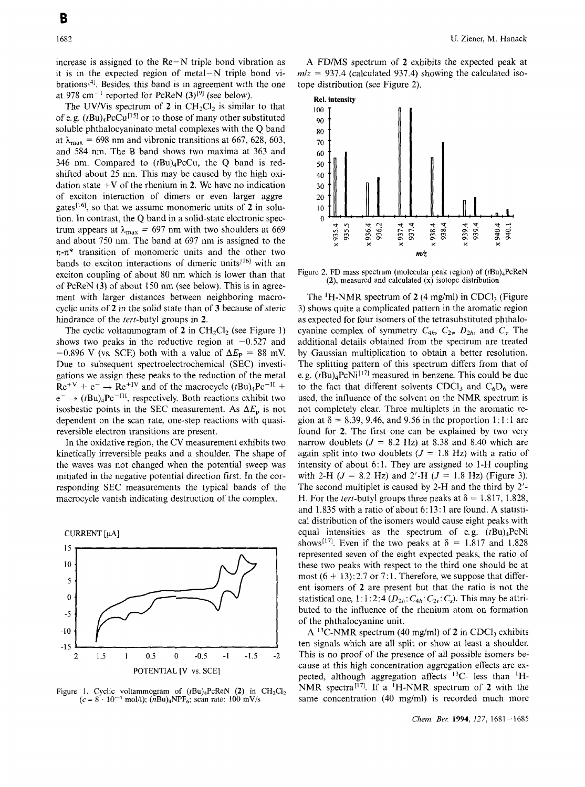increase is assigned to the  $Re-N$  triple bond vibration as it is in the expected region of metal-N triple bond vibrations<sup>[4]</sup>. Besides, this band is in agreement with the one at 978 cm<sup>-1</sup> reported for PcReN  $(3)$ <sup>[9]</sup> (see below).

The UV/Vis spectrum of 2 in  $CH_2Cl_2$  is similar to that of e.g.  $(tBu)_{4}PcCu^{[15]}$  or to those of many other substituted soluble phthalocyaninato metal complexes with the Q band at  $\lambda_{\text{max}} = 698$  nm and vibronic transitions at 667, 628, 603, and 584 nm. The B band shows two maxima at 363 and 346 nm. Compared to  $(tBu)_4PcCu$ , the Q band is redshifted about 25 nm. This may be caused by the high oxidation state  $+V$  of the rhenium in 2. We have no indication of exciton interaction of dimers or even larger aggregates['6], so that we assume monomeric units of **2** in solution. In contrast, the Q band in a solid-state electronic spectrum appears at  $\lambda_{\text{max}} = 697$  nm with two shoulders at 669 and about 750 nm. The band at 697 nm is assigned to the  $\pi$ - $\pi$ <sup>\*</sup> transition of monomeric units and the other two bands to exciton interactions of dimeric units<sup>[16]</sup> with an exciton coupling of about 80 nm which is lower than that of PcReN **(3)** of about 150 nm (see below). This is in agreement with larger distances between neighboring macrocyclic units of **2** in the solid state than of **3** because of steric hindrance of the tert-butyl groups in **2.** 

The cyclic voltammogram of  $2$  in  $CH_2Cl_2$  (see Figure 1) shows two peaks in the reductive region at  $-0.527$  and  $-0.896$  V (vs. SCE) both with a value of  $\Delta E_{\rm P}$  = 88 mV. Due to subsequent spectroelectrochemical (SEC) investigations we assign these peaks to the reduction of the metal  $\text{Re}^{+V}$  + e<sup>-</sup>  $\rightarrow$   $\text{Re}^{+IV}$  and of the macrocycle  $(tBu)_{4}Pc^{-II}$  +  $e^- \rightarrow (tBu)_4 Pe^{-III}$ , respectively. Both reactions exhibit two isosbestic points in the SEC measurement. As  $\Delta E_p$  is not dependent on the scan rate, one-step reactions with quasireversible electron transitions are present.

In the oxidative region, the CV measurement exhibits two kinetically irreversible peaks and a shoulder. The shape of the waves was not changed when the potential sweep was initiated in the negative potential direction first. In the corresponding SEC measurements the typical bands of the macrocycle vanish indicating destruction of the complex.



Figure 1. Cyclic voltammogram of  $(tBu)$ <sub>4</sub>PcReN (2) in CH<sub>2</sub>Cl<sub>2</sub>  $(c = 8 \cdot 10^{-4} \text{ mol/l})$ ; ( $n\text{Bu})_4\text{NPF}_6$ ; scan rate: 100 mV/s

**A** FD/MS spectrum of **2** exhibits the expected peak at  $mlz = 937.4$  (calculated 937.4) showing the calculated isotope distribution (see Figure 2).



Figure 2. FD mass spectrum (molecular peak region) of  $(tBu)$ <sub>4</sub>PcReN **(2),** measured and calculated **(x)** isotope distribution

The  ${}^{1}$ H-NMR spectrum of 2 (4 mg/ml) in CDCl<sub>3</sub> (Figure 3) shows quite a complicated pattern in the aromatic region as expected for four isomers of the tetrasubstituted phthalocyanine complex of symmetry  $C_{4h}$ ,  $C_{2v}$ ,  $D_{2h}$ , and  $C_v$ . The additional details obtained from the spectrum are treated by Gaussian multiplication to obtain a better resolution. The splitting pattern of this spectrum differs from that of e. g.  $(tBu)_{4}PcNi^{[17]}$  measured in benzene. This could be due to the fact that different solvents CDCl<sub>3</sub> and  $C_6D_6$  were used, the influence of the solvent on the NMR spectrum is not completely clear. Three multiplets in the aromatic region at  $\delta = 8.39, 9.46,$  and 9.56 in the proportion 1;1:1 are found for **2.** The first one can be explained by two very narrow doublets  $(J = 8.2 \text{ Hz})$  at 8.38 and 8.40 which are again split into two doublets  $(J = 1.8 \text{ Hz})$  with a ratio of intensity of about 6:l. They are assigned to I-H coupling with 2-H  $(J = 8.2 \text{ Hz})$  and 2'-H  $(J = 1.8 \text{ Hz})$  (Figure 3). The second multiplet is caused by 2-H and the third by 2'- H. For the *tert*-butyl groups three peaks at  $\delta = 1.817, 1.828$ , and 1.835 with a ratio of about 6: 13: 1 are found. **A** statistical distribution of the isomers would cause eight peaks with equal intensities as the spectrum of e.g.  $(tBu)$ <sub>4</sub>PcNi shows<sup>[17]</sup>. Even if the two peaks at  $\delta = 1.817$  and 1.828 represented seven of the eight expected peaks, the ratio of these two peaks with respect to the third one should be at most  $(6 + 13)$ : 2.7 or 7:1. Therefore, we suppose that different isomers of **2** are present but that the ratio is not the statistical one,  $1:1:2:4$   $(D_{2h}:C_{4h}:C_{2v}:C_{s})$ . This may be attributed to the influence of the rhenium atom on formation of the phthalocyanine unit.

A <sup>13</sup>C-NMR spectrum (40 mg/ml) of **2** in CDCl<sub>3</sub> exhibits ten signals which are all split or show at least a shoulder. This is no proof of the presence of all possible isomers because at this high concentration aggregation effects are expected, although aggregation affects  ${}^{13}C$ - less than  ${}^{1}H$ -NMR spectra[l7I. If a 'H-NMR spectrum of **2** with the same concentration (40 mg/ml) is recorded much more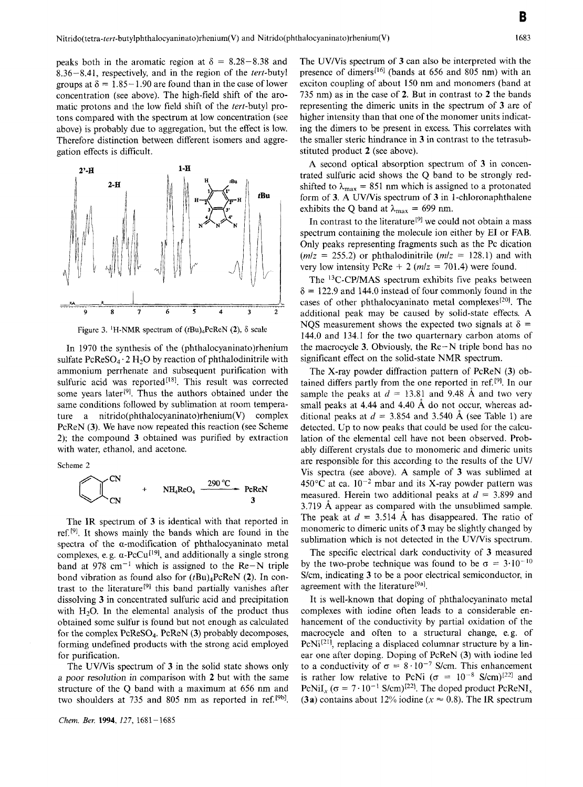peaks both in the aromatic region at  $\delta = 8.28 - 8.38$  and 8.36-8.41, respectively, and in the region of the tert-butyl groups at  $\delta = 1.85 - 1.90$  are found than in the case of lower concentration (see above). The high-field shift of the aromatic protons and the low field shift of the tert-butyl protons compared with the spectrum at low concentration (see above) is probably due to aggregation, but the effect is low. Therefore distinction between different isomers and aggregation effects is dificult.



Figure 3. <sup>1</sup>H-NMR spectrum of  $(tBu)$ <sub>4</sub>PcReN (2),  $\delta$  scale

In 1970 the synthesis of the (phtha1ocyaninato)rhenium sulfate  $PcReSO_4 \tcdot 2 H_2O$  by reaction of phthalodinitrile with ammonium perrhenate and subsequent purification with sulfuric acid was reported<sup>[18]</sup>. This result was corrected some years later<sup>[9]</sup>. Thus the authors obtained under the same conditions followed by sublimation at room temperature a **nitrido(phthalocyaninato)rhenium(V)** complex PcReN **(3).** We have now repeated this reaction (see Scheme 2); the compound **3** obtained was purified by extraction with water, ethanol, and acetone.

Scheme 2

EXECUTE: The equation of the equation is given by the equation 
$$
Q = 2
$$
.

\nEXECUTE: The equation is given by the equation  $Q = 2$  and  $Q = 2$ .

\nEXECUTE: The equation is given by the equation  $Q = 2$  and  $Q = 2$  and  $Q = 2$ .

\nEXECUTE: The equation is  $Q = 2$  and  $Q = 2$  and  $Q = 2$ .

\nEXECUTE: The equation is  $Q = 2$  and  $Q = 2$  and  $Q = 2$ .

\nEXECUTE: The equation is  $Q = 2$  and  $Q = 2$  and  $Q = 2$ .

\nEXECUTE: The equation is  $Q = 2$  and  $Q = 2$  and  $Q = 2$ .

\nEXECUTE: The equation is  $Q = 2$  and  $Q = 2$  and  $Q = 2$ .

\nEXECUTE: The equation is  $Q = 2$  and  $Q = 2$  and  $Q = 2$ .

\nEXECUTE: The equation is  $Q = 2$  and  $Q = 2$  and  $Q = 2$  and  $Q = 2$ .

\nEXECUTE: The equation is  $Q = 2$  and  $Q = 2$ . The equation is  $Q = 2$  and  $Q = 2$ . The equation is  $Q = 2$  and  $Q = 2$ . The equation is  $Q = 2$  and  $Q = 2$ . The equation is  $Q = 2$  and  $Q = 2$ . The equation is  $Q = 2$  and  $Q = 2$ . The equation is  $Q = 2$  and  $Q = 2$ . The equation is  $Q = 2$  and  $Q = 2$ . The equation is  $Q = 2$  and  $Q = 2$ . The equation is  $Q = 2$  and  $Q = 2$ . The equation is  $Q = 2$  and  $Q = 2$ . The equation is  $Q = 2$  and  $Q = 2$ . The equation is  $Q = 2$  and  $Q = 2$ . The equation is  $Q = 2$  and  $Q = 2$ . The

The IR spectrum of **3** is identical with that reported in ref.<sup>[9]</sup>. It shows mainly the bands which are found in the spectra of the  $\alpha$ -modification of phthalocyaninato metal complexes, e.g.  $\alpha$ -PcCu<sup>[19]</sup>, and additionally a single strong band at 978 cm<sup>-1</sup> which is assigned to the Re-N triple bond vibration as found also for (tBu)4PcReN **(2).** In contrast to the literature<sup>[9]</sup> this band partially vanishes after dissolving **3** in concentrated sulfuric acid and precipitation with  $H<sub>2</sub>O$ . In the elemental analysis of the product thus obtained some sulfur is found but not enough as calculated for the complex PcReS04. PcReN **(3)** probably decomposes, forming undefined products with the strong acid employed for purification.

The UV/Vis spectrum of **3** in the solid state shows only a poor resolution in comparison with **2** but with the same structure of the Q band with a maximum at 656 nm and two shoulders at 735 and 805 nm as reported in ref.<sup>[9b]</sup>.

*Chern. Ber.* **1994,** 127, 1681-1685

The UV/Vis spectrum of 3 can also be interpreted with the presence of dimers[16] (bands at 656 and 805 nm) with an exciton coupling of about 150 nm and monomers (band at 735 nm) as in the case of **2.** But in contrast to **2** the bands representing the dimeric units in the spectrum of **3** are of higher intensity than that one of the monomer units indicating the dimers to be present in excess. This correlates with the smaller steric hindrance in **3** in contrast to the tetrasubstituted product **2** (see above).

A second optical absorption spectrum of **3** in concentrated sulfuric acid shows the Q band to be strongly redshifted to  $\lambda_{\text{max}} = 851$  nm which is assigned to a protonated form of 3. A UV/Vis spectrum of 3 in 1-chloronaphthalene exhibits the Q band at  $\lambda_{\text{max}} = 699 \text{ nm}$ .

In contrast to the literature<sup>[9]</sup> we could not obtain a mass spectrum containing the molecule ion either by E1 or FAB. Only peaks representing fragments such as the Pc dication  $(m/z = 255.2)$  or phthalodinitrile  $(m/z = 128.1)$  and with very low intensity PcRe  $+ 2$  ( $m/z = 701.4$ ) were found.

The <sup>13</sup>C-CP/MAS spectrum exhibits five peaks between  $\delta$  = 122.9 and 144.0 instead of four commonly found in the cases of other phthalocyaninato metal complexes<sup>[20]</sup>. The additional peak may be caused by solid-state effects. A NQS measurement shows the expected two signals at  $\delta$  = 144.0 and 134.1 for the two quarternary carbon atoms of the macrocycle **3.** Obviously, the Re-N triple bond has no significant effect on the solid-state NMR spectrum.

The X-ray powder diffraction pattern of PcReN **(3)** obtained differs partly from the one reported in ref.<sup>[9]</sup>. In our sample the peaks at  $d = 13.81$  and 9.48 Å and two very small peaks at 4.44 and 4.40 Å do not occur, whereas additional peaks at  $d = 3.854$  and 3.540 Å (see Table 1) are detected. Up to now peaks that could be used for the calculation of the elemental cell have not been observed. Probably different crystals due to monomeric and dimeric units are responsible for this according to the results of the UV/ Vis spectra (see above). A sample of **3** was sublimed at 450 $^{\circ}$ C at ca. 10<sup>-2</sup> mbar and its X-ray powder pattern was measured. Herein two additional peaks at  $d = 3.899$  and 3.719 Å appear as compared with the unsublimed sample. The peak at  $d = 3.514$  Å has disappeared. The ratio of monomeric to dimeric units of **3** may be slightly changed by sublimation which is not detected in the UV/Vis spectrum.

The specific electrical dark conductivity of **3** measured by the two-probe technique was found to be  $\sigma = 3.10^{-10}$ S/cm, indicating 3 to be a poor electrical semiconductor, in agreement with the literature<sup>[9a]</sup>.

It is well-known that doping of phthalocyaninato metal complexes with iodine often leads to a considerable enhancement of the conductivity by partial oxidation of the macrocycle and often to a structural change, e.g. of  $PcNi^{[21]}$ , replacing a displaced columnar structure by a linear one after doping. Doping of PcReN **(3)** with iodine led to a conductivity of  $\sigma = 8 \cdot 10^{-7}$  S/cm. This enhancement is rather low relative to PcNi ( $\sigma = 10^{-8}$  S/cm)<sup>[22]</sup> and PcNiI<sub>x</sub> ( $\sigma = 7.10^{-1}$  S/cm)<sup>[22]</sup>. The doped product PcReNI<sub>x</sub> **(3a)** contains about 12% iodine ( $x \approx 0.8$ ). The IR spectrum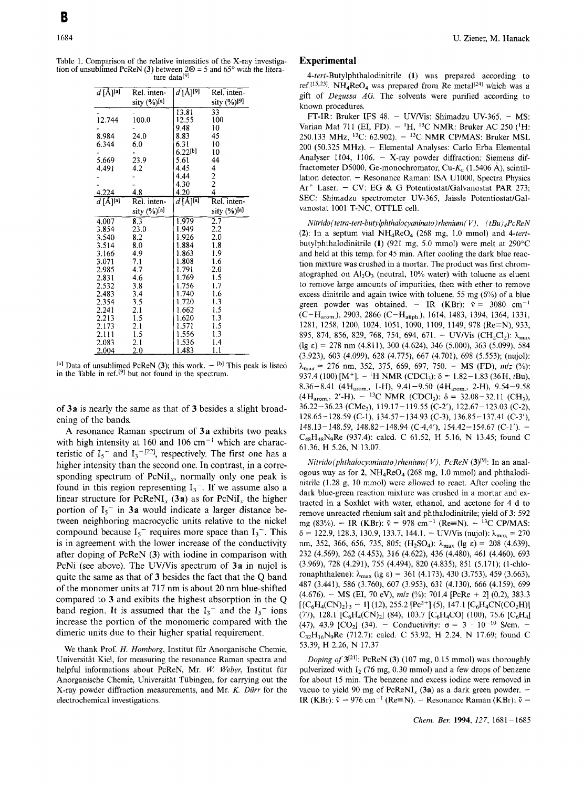Table 1. Comparison of the relative intensities of the X-ray investigation of unsublimed PcReN **(3)** between  $2\Theta = 5$  and  $65^{\circ}$  with the literature data<sup>[9]</sup>

| $\overline{d\,[\rm A\,]^{[a]}}$ | Rel. inten-      | $\overline{d}$ [Å] <sup>[9]</sup> | Rel. inten-                    |
|---------------------------------|------------------|-----------------------------------|--------------------------------|
|                                 | sity (%)[a]      |                                   | sity (%)[9]                    |
|                                 |                  | 13.81                             | 33                             |
| 12.744                          | 100.0            | 12.55                             | 100                            |
|                                 |                  | 9.48                              | 10                             |
| 8.984                           | 24.0             | 8.83                              | 45                             |
| 6.344                           | 6.0              | 6.31                              | 10                             |
|                                 |                  | $6.22$ [b]                        | 10                             |
| 5.669                           | 23.9             | 5.61                              | 44                             |
| 4.491                           | 4.2              | 4.45                              |                                |
|                                 |                  | 4.44                              | $\frac{4}{2}$<br>$\frac{2}{4}$ |
|                                 |                  | 4.30                              |                                |
| 4.224                           | 4.8              | 4.20                              |                                |
| $d$ [A][a]                      | Rel. inten-      | $d$ [Å][a]                        | Rel. inten-                    |
|                                 | sity $(\%)$ [a]  |                                   | sity (%)[a]                    |
| 4.007                           | $8.\overline{3}$ | $1.\overline{979}$                | $\overline{2.7}$               |
| 3.854                           | 23.0             | 1.949                             | 2.2                            |
| 3.540                           | 8.2              | 1.926                             | 2.0                            |
| 3.514                           | 8.0              | 1.884                             | 1.8                            |
| 3.166                           | 4.9              | 1.863                             | 1.9                            |
| 3.071                           | 7.1              | 1.808                             | 1.6                            |
| 2.985                           | 4.7              | 1.791                             | 2.0                            |
| 2.831                           | 4.6              | 1.769                             | 1.5                            |
| 2.532                           | 3.8              | 1.756                             | 1.7                            |
| 2.483                           | 3.4              | 1.740                             | 1.6                            |
| 2.354                           | 3.5              | 1.720                             | 1.3                            |
| 2.241                           | 2.1              | 1.662                             | 1.5                            |
| 2.213                           | 1.5              | 1.620                             | 1.3                            |
| 2.173                           | 2.1              | 1.571                             | 1.5                            |
| 2.111                           | 1.5              | 1.556                             | 1.3                            |
| 2.083                           | 2.1              | 1.536                             | 1.4                            |
| 2.004                           | $_{2.0}$         | 1.483                             | 1.1                            |

 $[<sup>a</sup>]$  Data of unsublimed PcReN **(3)**; this work.  $-$  <sup>[b]</sup> This peak is listed in the Table in  $ref. [9]$  but not found in the spectrum.

of **3a** is nearly the same as that of **3** besides a slight broadening of the bands.

**A** resonance Raman spectrum of **3a** exhibits two peaks with high intensity at 160 and 106  $cm^{-1}$  which are characteristic of  $I_5^-$  and  $I_3^{-122}$ , respectively. The first one has a higher intensity than the second one. In contrast, in a corresponding spectrum of  $PeNiI_x$ , normally only one peak is found in this region representing  $I_3$ <sup>-</sup>. If we assume also a linear structure for PcReNI, **(3a)** as for PcNiI, the higher portion of  $I_5$ <sup>-</sup> in **3a** would indicate a larger distance between neighboring macrocyclic units relative to the nickel compound because  $I_5$ <sup>-</sup> requires more space than  $I_3$ <sup>-</sup>. This is in agreement with the lower increase of the conductivity after doping of PcReN **(3)** with iodine in comparison with PcNi (see above). The UV/Vis spectrum of 3a in nujol is quite the same as that of **3** besides the fact that the Q band of the monomer units at 717 nm is about 20 nm blue-shifted compared to **3** and exibits the highest absorption in the Q band region. It is assumed that the  $I_3^-$  and the  $I_5^-$  ions increase the portion of the monomeric compared with the dimeric units due to their higher spatial requirement.

We thank Prof. *H. Homborg,* Institut fur Anorganische Chemie, Universitat Kid, for measuring the resonance Raman spectra and helpful informations about PcReN, Mr. W. Weber, Institut für Anorganische Chemie, Universitat Tiibingen, for carrying out the X-ray powder diffraction measurements, and Mr. *K. Diirr* for the electrochemical investigations.

## **Experimental**

4-tert-Butylphthalodinitrile **(1)** was prepared according to ref.<sup>[15,23]</sup>. NH<sub>4</sub>ReO<sub>4</sub> was prepared from Re metal<sup>[24]</sup> which was a gift of *Degussa AG.* The solvents were purified according to known procedures.

FT-IR: Bruker IFS 48. - UV/Vis: Shimadzu UV-365. - MS: Varian Mat 711 (EI, FD).  $-$  <sup>1</sup>H, <sup>13</sup>C NMR: Bruker AC 250 (<sup>1</sup>H: 250.133 MHz, I3C: 62.902). - *l3C* NMR CP/MAS: Bruker MSL 200 (50.325 MHz). - Elemental Analyses: Carlo Erba Elemental Analyser 1104, 1106. - X-ray powder diffraction: Siemens diffractometer D5000, Ge-monochromator, Cu- $K_{\alpha}$  (1.5406 Å), scintillation detector. - Resonance Raman: ISA U1000, Spectra Physics  $Ar^+$  Laser. - CV: EG & G Potentiostat/Galvanostat PAR 273; SEC: Shimadzu spectrometer UV-365, Jaissle Potentiostat/Galvanostat 1001 T-NC, OTTLE cell.

*Nitrido( tetra-tert-butylphthalocyaninuto)* rhenium ( *V),* ( *tBuj4PcReN*   $(2)$ : In a septum vial  $NH_4$ ReO<sub>4</sub> (268 mg, 1.0 mmol) and 4-tertbutylphthalodinitrile **(1)** (921 mg, 5.0 mmol) were melt at 290°C and held at this temp. for 45 min. After cooling the dark blue reaction mixture was crushed in a mortar. The product was first chromatographed on  $Al_2O_3$  (neutral, 10% water) with toluene as eluent to remove large amounts of impurities, then with ether to remove excess dinitrile and again twice with toluene. *55* mg (6%) of a blue green powder was obtained. - IR (KBr):  $\tilde{v} = 3080 \text{ cm}^{-1}$ 1281, 1258, 1200, 1024, 1051, 1090, 1109, 1149, 978 (Re=N), 933, 895, 874, 856, 829, 768, 754, 694, 671. - UV/Vis (CH<sub>2</sub>Cl<sub>2</sub>):  $\lambda_{\text{max}}$ (lg *E)* = 278 nm (4.81 I), 300 (4.624), 346 (5.000), 363 (5.099), 584 (3.923), 603 (4.099), 628 (4.779, 667 (4.701), 698 (5.553); (nujol):  $\lambda_{\text{max}} = 276 \text{ nm}, 352, 375, 669, 697, 750. - \text{MS (FD)}, m/z (%)$ :  $(C-H_{\text{arom.}})$ , 2903, 2866 (C-H<sub>aliph</sub>), 1614, 1483, 1394, 1364, 1331, 937.4 (100) [M<sup>+</sup>].  $-$  <sup>1</sup>H NMR (CDCl<sub>3</sub>):  $\delta = 1.82 - 1.83$  (36H, tBu),  $8.36-8.41$  ( $4H_{\text{arom}}$ , 1-H),  $9.41-9.50$  ( $4H_{\text{arom}}$ , 2-H),  $9.54-9.58$ <br>( $4H_{\text{arom}}$ ,  $2'$ -H).  $-{}^{13}$ C NMR (CDCl<sub>3</sub>):  $\delta = 32.08-32.11$  (CH<sub>3</sub>),  $36.22 - 36.23$  (CMe<sub>3</sub>),  $119.17 - 119.55$  (C-2'),  $122.67 - 123.03$  (C-2), 128.65-128.59 (C-l), 134.57- 134.93 (C-3), 136.85-137.41 (C-3'), 148.13- 148.59, 148.82- 148.94 (C-4,4'), 154.42- 154.67 (C-1').  $C_{48}H_{48}N_9$ Re (937.4): calcd. C 61.52, H 5.16, N 13.45; found C 61.36, H 5.26, N 13.07.

 $Nitrido(phthalocyaninato) rhenium(V)$ ,  $PcReN$  (3)<sup>[9]</sup>: In an analogous way as for  $2$ ,  $NH_4$ ReO<sub>4</sub> (268 mg, 1.0 mmol) and phthalodinitrile (1.28 g, 10 mmol) were allowed to react. After cooling the dark blue-green reaction mixture was crushed in a mortar and extracted in a Soxhlet with water, ethanol, and acetone for 4 d to remove unreacted rhenium salt and phthalodinitrile; yield of **3:** 592 mg (83%). - IR (KBr):  $\tilde{v} = 978$  cm<sup>-1</sup> (Re=N). - <sup>13</sup>C CP/MAS:  $\delta = 122.9, 128.3, 130.9, 133.7, 144.1. - UV/V$ is (nujol):  $\lambda_{\text{max}} = 270$ nm, 352, 366, 656, 735, 805; (H<sub>2</sub>SO<sub>4</sub>): λ<sub>max</sub> (lg ε) = 208 (4.639), 232 (4.569), 262 (4.453), 316 (4.622), 436 (4.480), 461 (4.460), 693 ronaphthalene):  $\lambda_{\text{max}}$  (lg  $\varepsilon$ ) = 361 (4.173), 430 (3.753), 459 (3.663), 487 (3.441), 586 (3.760), 607 (3.953), 631 (4.130), 666 (4.159), 699  $(4.676)$ . - MS (EI, 70 eV),  $m/z$  (%): 701.4 [PcRe + 2] (0.2), 383.3 (3.969), 728 (4.291), 755 (4.494), 820 (4.835), 851 (5.171); (1-chlo-  $[{C_6H_4(CN)_2}_3 - 1]$  (12), 255.2  $[Pe^{2+}](5)$ , 147.1  $[C_6H_4CN(CO_2H)]$ (77), 128.1  $[C_6H_4(CN)_2]$  (84), 103.7  $[C_6H_4CO]$  (100), 75.6  $[C_6H_4]$ (47), 43.9 [CO<sub>2</sub>] (34). - Conductivity:  $\sigma = 3 \cdot 10^{-10}$  S/cm. - $C_{32}H_{16}N_9$ Re (712.7): calcd. C 53.92, H 2.24, N 17.69; found C 53.39, H 2.26, N 17.37.

*Doping of*  $3^{[21]}$ : PcReN (3) (107 mg, 0.15 mmol) was thoroughly pulverized with  $I_2$  (76 mg, 0.30 mmol) and a few drops of benzene for about 15 min. The benzene and excess iodine were removed in vacuo to yield 90 mg of  $PcReNI_x$  (3a) as a dark green powder. -IR (KBr):  $\tilde{v} = 976$  cm<sup>-1</sup> (Re=N). - Resonance Raman (KBr):  $\tilde{v} =$ 

*Chem.* Ber. **1994,** *127,* 1681-1685